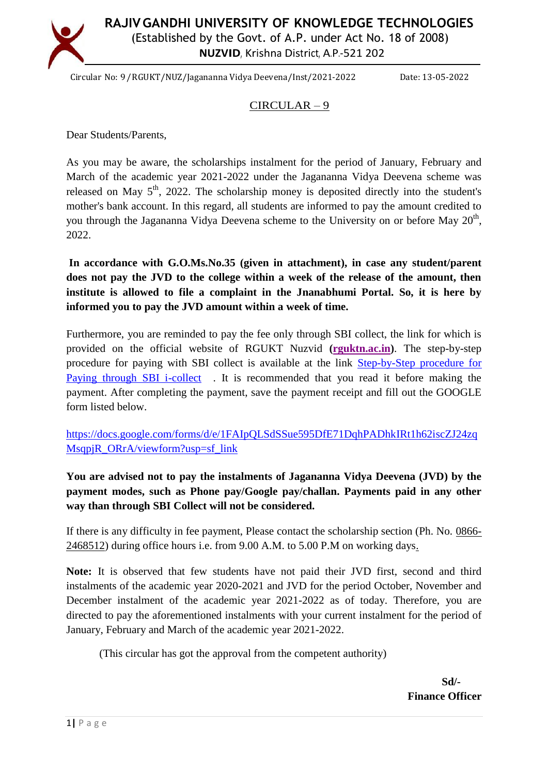

**RAJIVGANDHI UNIVERSITY OF KNOWLEDGE TECHNOLOGIES** (Established by the Govt. of A.P. under Act No. 18 of 2008) **NUZVID**, Krishna District, A.P.-521 202

Circular No: 9/RGUKT/NUZ/Jagananna Vidya Deevena/Inst/2021-2022 Date: 13-05-2022

## CIRCULAR – 9

Dear Students/Parents,

As you may be aware, the scholarships instalment for the period of January, February and March of the academic year 2021-2022 under the Jagananna Vidya Deevena scheme was released on May  $5<sup>th</sup>$ , 2022. The scholarship money is deposited directly into the student's mother's bank account. In this regard, all students are informed to pay the amount credited to you through the Jagananna Vidya Deevena scheme to the University on or before May  $20<sup>th</sup>$ , 2022.

**In accordance with G.O.Ms.No.35 (given in attachment), in case any student/parent does not pay the JVD to the college within a week of the release of the amount, then institute is allowed to file a complaint in the Jnanabhumi Portal. So, it is here by informed you to pay the JVD amount within a week of time.**

Furthermore, you are reminded to pay the fee only through SBI collect, the link for which is provided on the official website of RGUKT Nuzvid **[\(rguktn.ac.in\)](https://rguktn.ac.in/)**. The step-by-step procedure for paying with SBI collect is available at the link [Step-by-Step procedure for](https://rguktn.ac.in/downloads/Online_payments_through_SBI_Collect_RGUKT_NUZVID.pdf)  [Paying through SBI i-collect](https://rguktn.ac.in/downloads/Online_payments_through_SBI_Collect_RGUKT_NUZVID.pdf). It is recommended that you read it before making the payment. After completing the payment, save the payment receipt and fill out the GOOGLE form listed below.

[https://docs.google.com/forms/d/e/1FAIpQLSdSSue595DfE71DqhPADhkIRt1h62iscZJ24zq](https://docs.google.com/forms/d/e/1FAIpQLSdSSue595DfE71DqhPADhkIRt1h62iscZJ24zqMsqpjR_ORrA/viewform?usp=sf_link) [MsqpjR\\_ORrA/viewform?usp=sf\\_link](https://docs.google.com/forms/d/e/1FAIpQLSdSSue595DfE71DqhPADhkIRt1h62iscZJ24zqMsqpjR_ORrA/viewform?usp=sf_link)

**You are advised not to pay the instalments of Jagananna Vidya Deevena (JVD) by the payment modes, such as Phone pay/Google pay/challan. Payments paid in any other way than through SBI Collect will not be considered.**

If there is any difficulty in fee payment, Please contact the scholarship section (Ph. No. 0866- 2468512) during office hours i.e. from 9.00 A.M. to 5.00 P.M on working days.

**Note:** It is observed that few students have not paid their JVD first, second and third instalments of the academic year 2020-2021 and JVD for the period October, November and December instalment of the academic year 2021-2022 as of today. Therefore, you are directed to pay the aforementioned instalments with your current instalment for the period of January, February and March of the academic year 2021-2022.

(This circular has got the approval from the competent authority)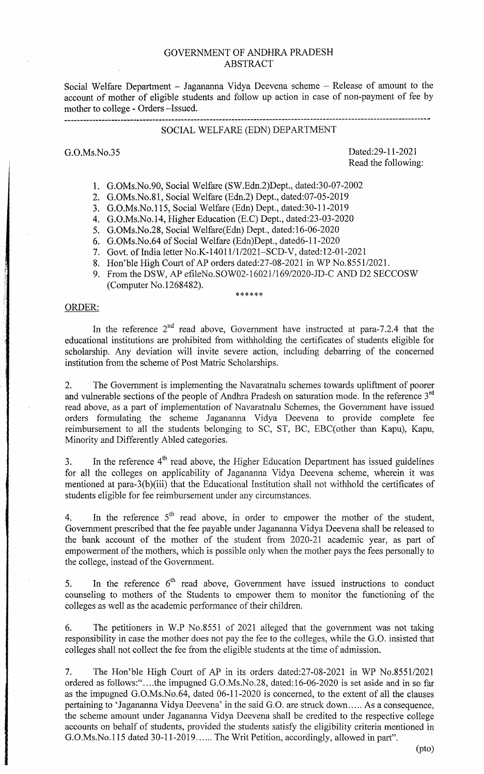### GOVERNMENT OF ANDHRA PRADESH ABSTRACT

Social Welfare Department - Jagananna Vidya Deevena scheme - Release of amount to the account of mother of eligible students and follow up action in case of non-payment of fee by mother to college - Orders —Issued.

# SOCIAL WELFARE (EDN) DEPARTMENT

G.O.Ms.No.35 Dated:29-1 1-2021 Read the following:

- 1. G.OMs.No.90, Social Welfare (SW.Edn.2)Dept., dated:30-07-2002
- 2. G.OMs.No.81, Social Welfare (Edn.2) Dept., dated:07-05-2019
- 3. G.O.Ms.No.115, Social Welfare (Edn) Dept., dated:30-11-2019
- 4. G.O.Ms.No.14, Higher Education (E.C) Dept., dated:23-03-2020
- 5. G.OMs.No.28, Social Welfare(Edn) Dept., dated:16-06-2020
- 6. G.OMs.No.64 of Social Welfare (Edn)Dept., dated6-1 1-2020
- 7. Govt. of India letter No.K- 14011/1/202 1—SCD-V, dated: 12-01-2021
- 8. Hon'ble High Court of AP orders dated:27-08-2021 in WP No.8551/2021.
- 9. From the DSW, AP efileNo.SOWO2-16021/169/2020-JD-C AND D2 SECCOSW (Computer No.1268482).

\*\*\*\*\*\*

### ORDER:

In the reference  $2<sup>nd</sup>$  read above, Government have instructed at para-7.2.4 that the educational institutions are prohibited from withholding the certificates of students eligible for scholarship. Any deviation will invite severe action, including debarring of the concerned institution from the scheme of Post Matric Scholarships.

2. The Government is implementing the Navaratnalu schemes towards upliftment of poorer and vulnerable sections of the people of Andhra Pradesh on saturation mode. In the reference 3<sup>rd</sup> read above, as a part of implementation of Navaratnalu Schemes, the Government have issued orders formulating the scheme Jagananna Vidya Deevena to provide complete fee reimbursement to all the students belonging to SC, ST, BC, EBC(other than Kapu), Kapu, Minority and Differently Abled categories.

3. In the reference  $4<sup>th</sup>$  read above, the Higher Education Department has issued guidelines for all the colleges on applicability of Jagananna Vidya Deevena scheme, wherein it was mentioned at para-3(b)(iii) that the Educational Institution shall not withhold the certificates of students eligible for fee reimbursement under any circumstances.

4. In the reference  $5<sup>th</sup>$  read above, in order to empower the mother of the student, Government prescribed that the fee payable under Jagananna Vidya Deevena shall be released to the bank account of the mother of the student from 2020-21 academic year, as part of empowerment of the mothers, which is possible only when the mother pays the fees personally to the college, instead of the Govermnent.

5. In the reference  $6<sup>th</sup>$  read above, Government have issued instructions to conduct counseling to mothers of the Students to empower them to monitor the functioning of the colleges as well as the academic performance of their children.

6. The petitioners in W.P No.8551 of 2021 alleged that the government was not taking responsibility in case the mother does not pay the fee to the colleges, while the G.O. insisted that colleges shall not collect the fee from the eligible students at the time of admission.

7. The Hon'ble High Court of AP in its orders dated:27-08-2021 in WP No.8551/2021 ordered as follows:"....the impugned G.O.Ms.No.28, dated:16-06-2020 is set aside and in so far as the impugned G.O.Ms.No.64, dated 06-11-2020 is concerned, to the extent of all the clauses pertaining to 'Jagananna Vidya Deevena' in the said G.O. are struck down..... As a consequence, the scheme amount under Jagananna Vidya Deevena shall be credited to the respective college accounts on behalf of students, provided the students satisfy the eligibility criteria mentioned in G.O.Ms.No.115 dated 30-11-2019...... The Writ Petition, accordingly, allowed in part".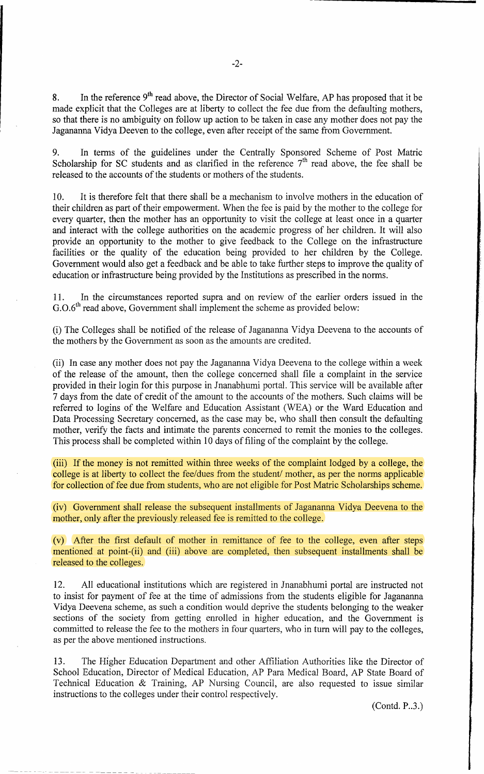8. In the reference  $9<sup>th</sup>$  read above, the Director of Social Welfare, AP has proposed that it be made explicit that the Colleges are at liberty to collect the fee due from the defaulting mothers, so that there is no ambiguity on follow up action to be taken in case any mother does not pay the Jagananna Vidya Deeven to the college, even after receipt of the same from Government.

9. In terms of the guidelines under the Centrally Sponsored Scheme of Post Matric Scholarship for SC students and as clarified in the reference  $7<sup>th</sup>$  read above, the fee shall be released to the accounts of the students or mothers of the students.

10. It is therefore felt that there shall be a mechanism to involve mothers in the education of their children as part of their empowerment. When the fee is paid by the mother to the college for every quarter, then the mother has an opportunity to visit the college at least once in a quarter and interact with the college authorities on the academic progress of her children. It will also provide an opportunity to the mother to give feedback to the College on the infrastructure facilities or the quality of the education being provided to her children by the College. Government would also get a feedback and be able to take further steps to improve the quality of education or infrastructure being provided by the Institutions as prescribed in the norms.

11. In the circumstances reported supra and on review of the earlier orders issued in the  $G.O.6<sup>th</sup>$  read above, Government shall implement the scheme as provided below:

(i) The Colleges shall be notified of the release of Jagananna Vidya Deevena to the accounts of the mothers by the Government as soon as the amounts are credited.

(ii) In case any mother does not pay the Jagananna Vidya Deevena to the college within a week of the release of the amount, then the college concerned shall file a complaint in the service provided in their login for this purpose in Jnanabhumi portal. This service will be available after 7 days from the date of credit of the amount to the accounts of the mothers. Such claims will be referred to logins of the Welfare and Education Assistant (WEA) or the Ward Education and Data Processing Secretary concerned, as the case may be, who shall then consult the defaulting mother, verify the facts and intimate the parents concerned to remit the monies to the colleges. This process shall be completed within 10 days of filing of the complaint by the college.

(iii) If the money is not remitted within three weeks of the complaint lodged by a college, the college is at liberty to collect the fee/dues from the student/ mother, as per the norms applicable for collection of fee due from students, who are not eligible for Post Matric Scholarships scheme.

(iv) Government shall release the subsequent installments of Jagananna Vidya Deevena to the mother, only after the previously released fee is remitted to the college.

(v) After the first default of mother in remittance of fee to the college, even after steps mentioned at point-(ii) and (iii) above are completed, then subsequent installments shall be released to the colleges.

12. All educational institutions which are registered in Jnanabhumi portal are instructed not to insist for payment of fee at the time of admissions from the students eligible for Jagananna Vidya Deevena scheme, as such a condition would deprive the students belonging to the weaker sections of the society from getting enrolled in higher education, and the Government is committed to release the fee to the mothers in four quarters, who in turn will pay to the colleges, as per the above mentioned instructions.

13. The Higher Education Department and other Affiliation Authorities like the Director of School Education, Director of Medical Education, AP Para Medical Board, AP State Board of Technical Education & Training, AP Nursing Council, are also requested to issue similar instructions to the colleges under their control respectively.

(Contd. P..3.)